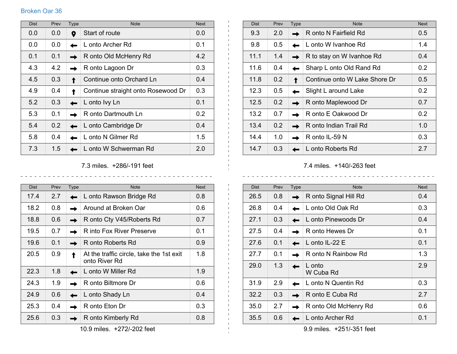## Broken Oar 36

| <b>Dist</b> | Prev | Type | <b>Note</b>                        | <b>Next</b> |
|-------------|------|------|------------------------------------|-------------|
| 0.0         | 0.0  | Q    | Start of route                     | 0.0         |
| 0.0         | 0.0  |      | L onto Archer Rd                   | 0.1         |
| 0.1         | 0.1  |      | R onto Old McHenry Rd              | 4.2         |
| 4.3         | 4.2  |      | R onto Lagoon Dr                   | 0.3         |
| 4.5         | 0.3  |      | Continue onto Orchard Ln           | 0.4         |
| 4.9         | 0.4  |      | Continue straight onto Rosewood Dr | 0.3         |
| 5.2         | 0.3  |      | L onto Ivy Ln                      | 0.1         |
| 5.3         | 0.1  |      | R onto Dartmouth Ln                | 0.2         |
| 5.4         | 0.2  |      | L onto Cambridge Dr                | 0.4         |
| 5.8         | 0.4  |      | L onto N Gilmer Rd                 | 1.5         |
| 7.3         | 1.5  |      | L onto W Schwerman Rd              | 2.0         |

Dist Prev Type Note Note Next Note Next 9.3 2.0 **R** R onto N Fairfield Rd 0.5 9.8 0.5 L onto W Ivanhoe Rd 1.4 11.1  $1.4$  R to stay on W Ivanhoe Rd 0.4 11.6  $\vert$  0.4  $\vert$  Sharp L onto Old Rand Rd 0.2 11.8 0.2 Continue onto W Lake Shore Dr 0.5 12.3  $0.5$  Slight L around Lake 0.2 12.5 0.2 **R** R onto Maplewood Dr 0.7  $13.2$  0.7 **R** R onto E Oakwood Dr 0.2  $13.4 \mid 0.2 \mid \blacksquare \mid R$  onto Indian Trail Rd  $1.0$ 14.4  $1.0$  R onto IL-59 N 0.3 14.7 0.3 **D** L onto Roberts Rd 2.7

7.3 miles. +286/-191 feet

| <b>Dist</b> | Prev | <b>Type</b> | <b>Note</b>                                               | <b>Next</b> |
|-------------|------|-------------|-----------------------------------------------------------|-------------|
| 17.4        | 2.7  |             | L onto Rawson Bridge Rd                                   | 0.8         |
| 18.2        | 0.8  |             | Around at Broken Oar                                      | 0.6         |
| 18.8        | 0.6  |             | R onto Cty V45/Roberts Rd                                 | 0.7         |
| 19.5        | 0.7  |             | R into Fox River Preserve                                 | 0.1         |
| 19.6        | 0.1  |             | R onto Roberts Rd                                         | 0.9         |
| 20.5        | 0.9  |             | At the traffic circle, take the 1st exit<br>onto River Rd | 1.8         |
| 22.3        | 1.8  |             | L onto W Miller Rd                                        | 1.9         |
| 24.3        | 1.9  |             | R onto Biltmore Dr                                        | 0.6         |
| 24.9        | 0.6  |             | L onto Shady Ln                                           | 0.4         |
| 25.3        | 0.4  |             | R onto Eton Dr                                            | 0.3         |
| 25.6        | 0.3  |             | R onto Kimberly Rd                                        | 0.8         |

7.4 miles. +140/-263 feet

| <b>Dist</b> | Prev | <b>Type</b> | <b>Note</b>           | <b>Next</b> |
|-------------|------|-------------|-----------------------|-------------|
| 26.5        | 0.8  |             | R onto Signal Hill Rd | 0.4         |
| 26.8        | 0.4  |             | L onto Old Oak Rd     | 0.3         |
| 27.1        | 0.3  |             | L onto Pinewoods Dr   | 0.4         |
| 27.5        | 0.4  |             | R onto Hewes Dr       | 0.1         |
| 27.6        | 0.1  |             | L onto IL-22 E        | 0.1         |
| 27.7        | 0.1  |             | R onto N Rainbow Rd   | 1.3         |
| 29.0        | 1.3  |             | L onto<br>W Cuba Rd   | 2.9         |
| 31.9        | 2.9  |             | L onto N Quentin Rd   | 0.3         |
| 32.2        | 0.3  |             | R onto E Cuba Rd      | 2.7         |
| 35.0        | 2.7  |             | R onto Old McHenry Rd | 0.6         |
| 35.5        | 0.6  |             | L onto Archer Rd      | 0.1         |

9.9 miles. +251/-351 feet

10.9 miles. +272/-202 feet